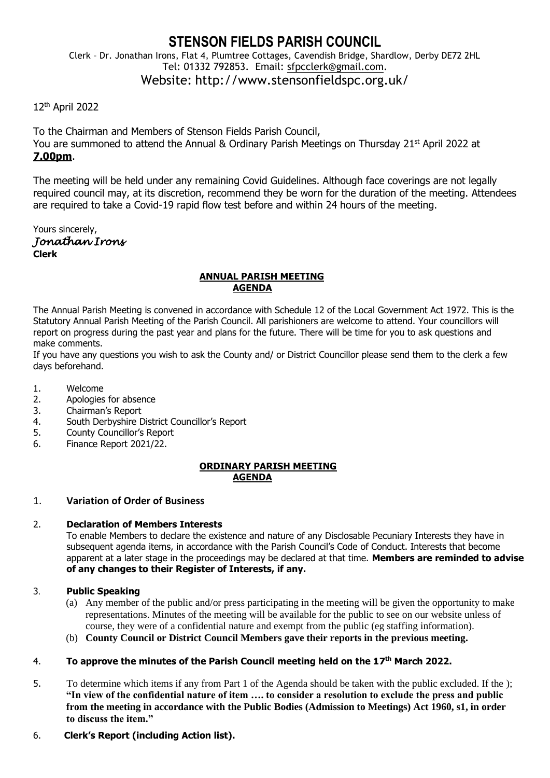# **STENSON FIELDS PARISH COUNCIL**

Clerk – Dr. Jonathan Irons, Flat 4, Plumtree Cottages, Cavendish Bridge, Shardlow, Derby DE72 2HL Tel: 01332 792853. Email: [sfpcclerk@gmail.com.](mailto:sfpcclerk@gmail.com) Website: http://www.stensonfieldspc.org.uk/

## 12th April 2022

To the Chairman and Members of Stenson Fields Parish Council, You are summoned to attend the Annual & Ordinary Parish Meetings on Thursday 21<sup>st</sup> April 2022 at **7.00pm**.

The meeting will be held under any remaining Covid Guidelines. Although face coverings are not legally required council may, at its discretion, recommend they be worn for the duration of the meeting. Attendees are required to take a Covid-19 rapid flow test before and within 24 hours of the meeting.

Yours sincerely, *Jonathan Irons*  **Clerk**

#### **ANNUAL PARISH MEETING AGENDA**

The Annual Parish Meeting is convened in accordance with Schedule 12 of the Local Government Act 1972. This is the Statutory Annual Parish Meeting of the Parish Council. All parishioners are welcome to attend. Your councillors will report on progress during the past year and plans for the future. There will be time for you to ask questions and make comments.

If you have any questions you wish to ask the County and/ or District Councillor please send them to the clerk a few days beforehand.

- 1. Welcome
- 2. Apologies for absence
- 3. Chairman's Report
- 4. South Derbyshire District Councillor's Report
- 5. County Councillor's Report
- 6. Finance Report 2021/22.

## **ORDINARY PARISH MEETING AGENDA**

## 1. **Variation of Order of Business**

## 2. **Declaration of Members Interests**

To enable Members to declare the existence and nature of any Disclosable Pecuniary Interests they have in subsequent agenda items, in accordance with the Parish Council's Code of Conduct. Interests that become apparent at a later stage in the proceedings may be declared at that time. **Members are reminded to advise of any changes to their Register of Interests, if any.** 

## 3. **Public Speaking**

- (a) Any member of the public and/or press participating in the meeting will be given the opportunity to make representations. Minutes of the meeting will be available for the public to see on our website unless of course, they were of a confidential nature and exempt from the public (eg staffing information).
- (b) **County Council or District Council Members gave their reports in the previous meeting.**

## 4. **To approve the minutes of the Parish Council meeting held on the 17 th March 2022.**

5. To determine which items if any from Part 1 of the Agenda should be taken with the public excluded. If the ); **"In view of the confidential nature of item …. to consider a resolution to exclude the press and public from the meeting in accordance with the Public Bodies (Admission to Meetings) Act 1960, s1, in order to discuss the item."** 

## 6. **Clerk's Report (including Action list).**